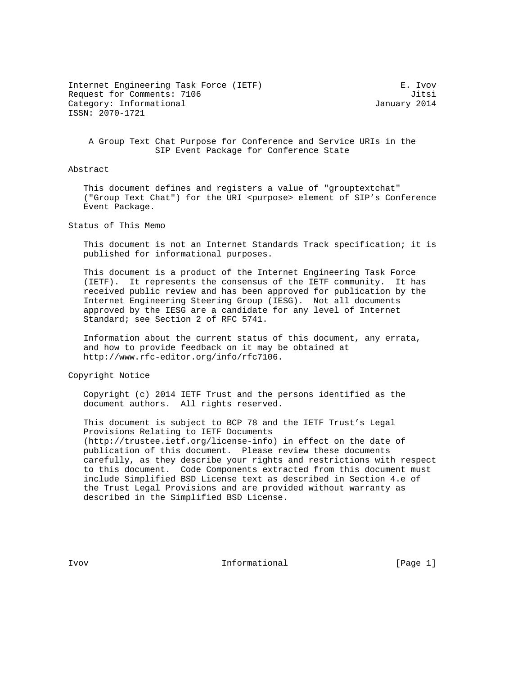Internet Engineering Task Force (IETF) E. Ivov Request for Comments: 7106 30 and 200 and 200 and 200 and 200 and 200 and 200 and 200 and 200 and 200 and 200 and 200 and 200 and 200 and 200 and 200 and 200 and 200 and 200 and 200 and 200 and 200 and 200 and 200 and 200 Category: Informational and Category: Informational ISSN: 2070-1721

 A Group Text Chat Purpose for Conference and Service URIs in the SIP Event Package for Conference State

Abstract

 This document defines and registers a value of "grouptextchat" ("Group Text Chat") for the URI <purpose> element of SIP's Conference Event Package.

Status of This Memo

 This document is not an Internet Standards Track specification; it is published for informational purposes.

 This document is a product of the Internet Engineering Task Force (IETF). It represents the consensus of the IETF community. It has received public review and has been approved for publication by the Internet Engineering Steering Group (IESG). Not all documents approved by the IESG are a candidate for any level of Internet Standard; see Section 2 of RFC 5741.

 Information about the current status of this document, any errata, and how to provide feedback on it may be obtained at http://www.rfc-editor.org/info/rfc7106.

Copyright Notice

 Copyright (c) 2014 IETF Trust and the persons identified as the document authors. All rights reserved.

 This document is subject to BCP 78 and the IETF Trust's Legal Provisions Relating to IETF Documents (http://trustee.ietf.org/license-info) in effect on the date of publication of this document. Please review these documents carefully, as they describe your rights and restrictions with respect to this document. Code Components extracted from this document must include Simplified BSD License text as described in Section 4.e of the Trust Legal Provisions and are provided without warranty as described in the Simplified BSD License.

Ivov 10 Informational (Page 1)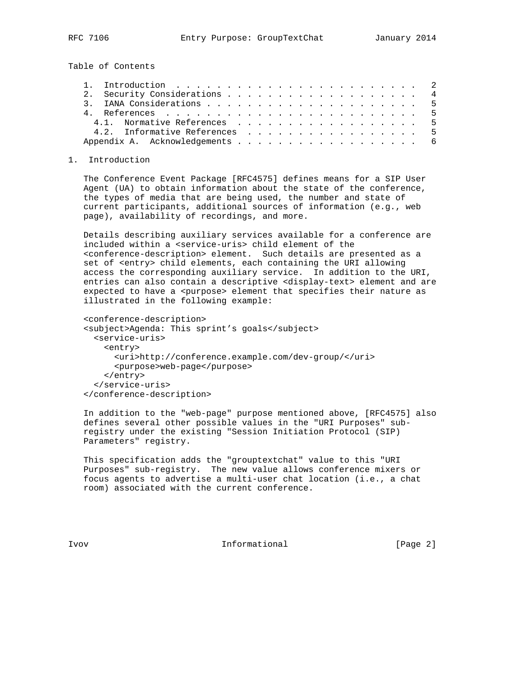Table of Contents

|  | 2. Security Considerations 4   |  |
|--|--------------------------------|--|
|  |                                |  |
|  |                                |  |
|  | 4.1. Normative References 5    |  |
|  | 4.2. Informative References 5  |  |
|  | Appendix A. Acknowledgements 6 |  |

1. Introduction

 The Conference Event Package [RFC4575] defines means for a SIP User Agent (UA) to obtain information about the state of the conference, the types of media that are being used, the number and state of current participants, additional sources of information (e.g., web page), availability of recordings, and more.

 Details describing auxiliary services available for a conference are included within a <service-uris> child element of the <conference-description> element. Such details are presented as a set of <entry> child elements, each containing the URI allowing access the corresponding auxiliary service. In addition to the URI, entries can also contain a descriptive <display-text> element and are expected to have a <purpose> element that specifies their nature as illustrated in the following example:

```
 <conference-description>
<subject>Agenda: This sprint's goals</subject>
 <service-uris>
   <entry>
     <uri>http://conference.example.com/dev-group/</uri>
      <purpose>web-page</purpose>
    </entry>
  </service-uris>
</conference-description>
```
 In addition to the "web-page" purpose mentioned above, [RFC4575] also defines several other possible values in the "URI Purposes" sub registry under the existing "Session Initiation Protocol (SIP) Parameters" registry.

 This specification adds the "grouptextchat" value to this "URI Purposes" sub-registry. The new value allows conference mixers or focus agents to advertise a multi-user chat location (i.e., a chat room) associated with the current conference.

Ivov 100 Informational (Page 2)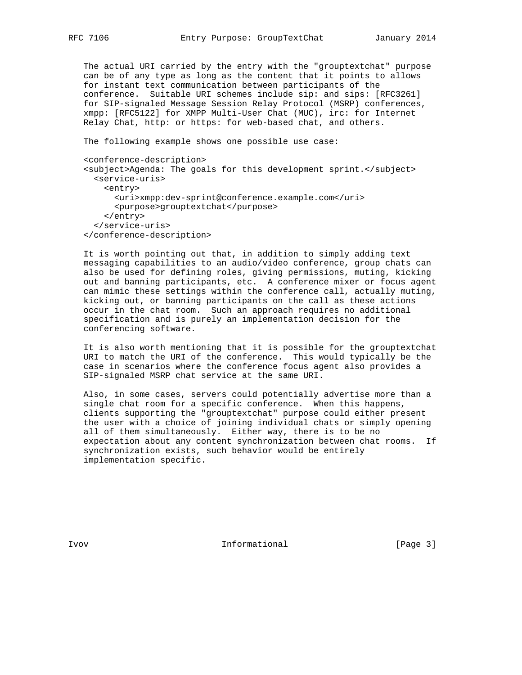The actual URI carried by the entry with the "grouptextchat" purpose can be of any type as long as the content that it points to allows for instant text communication between participants of the conference. Suitable URI schemes include sip: and sips: [RFC3261] for SIP-signaled Message Session Relay Protocol (MSRP) conferences, xmpp: [RFC5122] for XMPP Multi-User Chat (MUC), irc: for Internet Relay Chat, http: or https: for web-based chat, and others.

The following example shows one possible use case:

```
 <conference-description>
<subject>Agenda: The goals for this development sprint.</subject>
 <service-uris>
    <entry>
      <uri>xmpp:dev-sprint@conference.example.com</uri>
      <purpose>grouptextchat</purpose>
    </entry>
  </service-uris>
</conference-description>
```
 It is worth pointing out that, in addition to simply adding text messaging capabilities to an audio/video conference, group chats can also be used for defining roles, giving permissions, muting, kicking out and banning participants, etc. A conference mixer or focus agent can mimic these settings within the conference call, actually muting, kicking out, or banning participants on the call as these actions occur in the chat room. Such an approach requires no additional specification and is purely an implementation decision for the conferencing software.

 It is also worth mentioning that it is possible for the grouptextchat URI to match the URI of the conference. This would typically be the case in scenarios where the conference focus agent also provides a SIP-signaled MSRP chat service at the same URI.

 Also, in some cases, servers could potentially advertise more than a single chat room for a specific conference. When this happens, clients supporting the "grouptextchat" purpose could either present the user with a choice of joining individual chats or simply opening all of them simultaneously. Either way, there is to be no expectation about any content synchronization between chat rooms. If synchronization exists, such behavior would be entirely implementation specific.

Ivov 100 Informational (Page 3)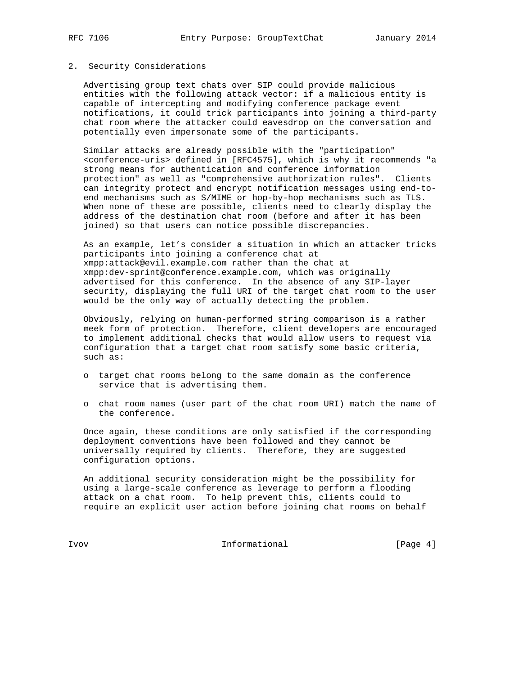## 2. Security Considerations

 Advertising group text chats over SIP could provide malicious entities with the following attack vector: if a malicious entity is capable of intercepting and modifying conference package event notifications, it could trick participants into joining a third-party chat room where the attacker could eavesdrop on the conversation and potentially even impersonate some of the participants.

 Similar attacks are already possible with the "participation" <conference-uris> defined in [RFC4575], which is why it recommends "a strong means for authentication and conference information protection" as well as "comprehensive authorization rules". Clients can integrity protect and encrypt notification messages using end-to end mechanisms such as S/MIME or hop-by-hop mechanisms such as TLS. When none of these are possible, clients need to clearly display the address of the destination chat room (before and after it has been joined) so that users can notice possible discrepancies.

 As an example, let's consider a situation in which an attacker tricks participants into joining a conference chat at xmpp:attack@evil.example.com rather than the chat at xmpp:dev-sprint@conference.example.com, which was originally advertised for this conference. In the absence of any SIP-layer security, displaying the full URI of the target chat room to the user would be the only way of actually detecting the problem.

 Obviously, relying on human-performed string comparison is a rather meek form of protection. Therefore, client developers are encouraged to implement additional checks that would allow users to request via configuration that a target chat room satisfy some basic criteria, such as:

- o target chat rooms belong to the same domain as the conference service that is advertising them.
- o chat room names (user part of the chat room URI) match the name of the conference.

 Once again, these conditions are only satisfied if the corresponding deployment conventions have been followed and they cannot be universally required by clients. Therefore, they are suggested configuration options.

 An additional security consideration might be the possibility for using a large-scale conference as leverage to perform a flooding attack on a chat room. To help prevent this, clients could to require an explicit user action before joining chat rooms on behalf

Ivov Informational [Page 4]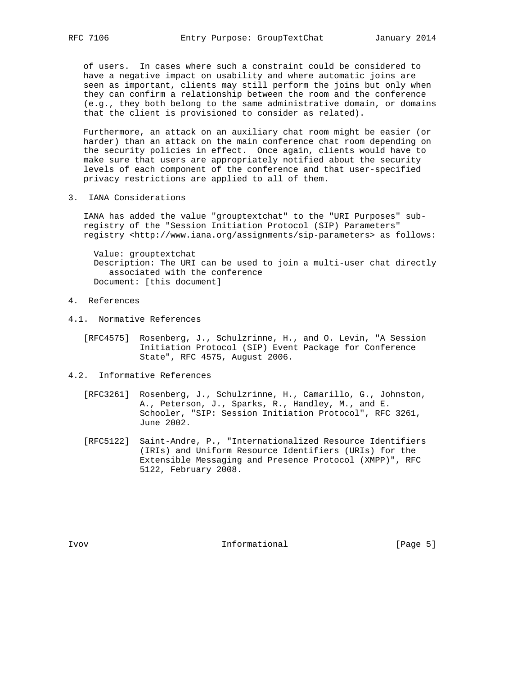of users. In cases where such a constraint could be considered to have a negative impact on usability and where automatic joins are seen as important, clients may still perform the joins but only when they can confirm a relationship between the room and the conference (e.g., they both belong to the same administrative domain, or domains that the client is provisioned to consider as related).

 Furthermore, an attack on an auxiliary chat room might be easier (or harder) than an attack on the main conference chat room depending on the security policies in effect. Once again, clients would have to make sure that users are appropriately notified about the security levels of each component of the conference and that user-specified privacy restrictions are applied to all of them.

3. IANA Considerations

 IANA has added the value "grouptextchat" to the "URI Purposes" sub registry of the "Session Initiation Protocol (SIP) Parameters" registry <http://www.iana.org/assignments/sip-parameters> as follows:

 Value: grouptextchat Description: The URI can be used to join a multi-user chat directly associated with the conference Document: [this document]

## 4. References

- 4.1. Normative References
	- [RFC4575] Rosenberg, J., Schulzrinne, H., and O. Levin, "A Session Initiation Protocol (SIP) Event Package for Conference State", RFC 4575, August 2006.
- 4.2. Informative References
	- [RFC3261] Rosenberg, J., Schulzrinne, H., Camarillo, G., Johnston, A., Peterson, J., Sparks, R., Handley, M., and E. Schooler, "SIP: Session Initiation Protocol", RFC 3261, June 2002.
	- [RFC5122] Saint-Andre, P., "Internationalized Resource Identifiers (IRIs) and Uniform Resource Identifiers (URIs) for the Extensible Messaging and Presence Protocol (XMPP)", RFC 5122, February 2008.

Ivov 10 Informational (Page 5)